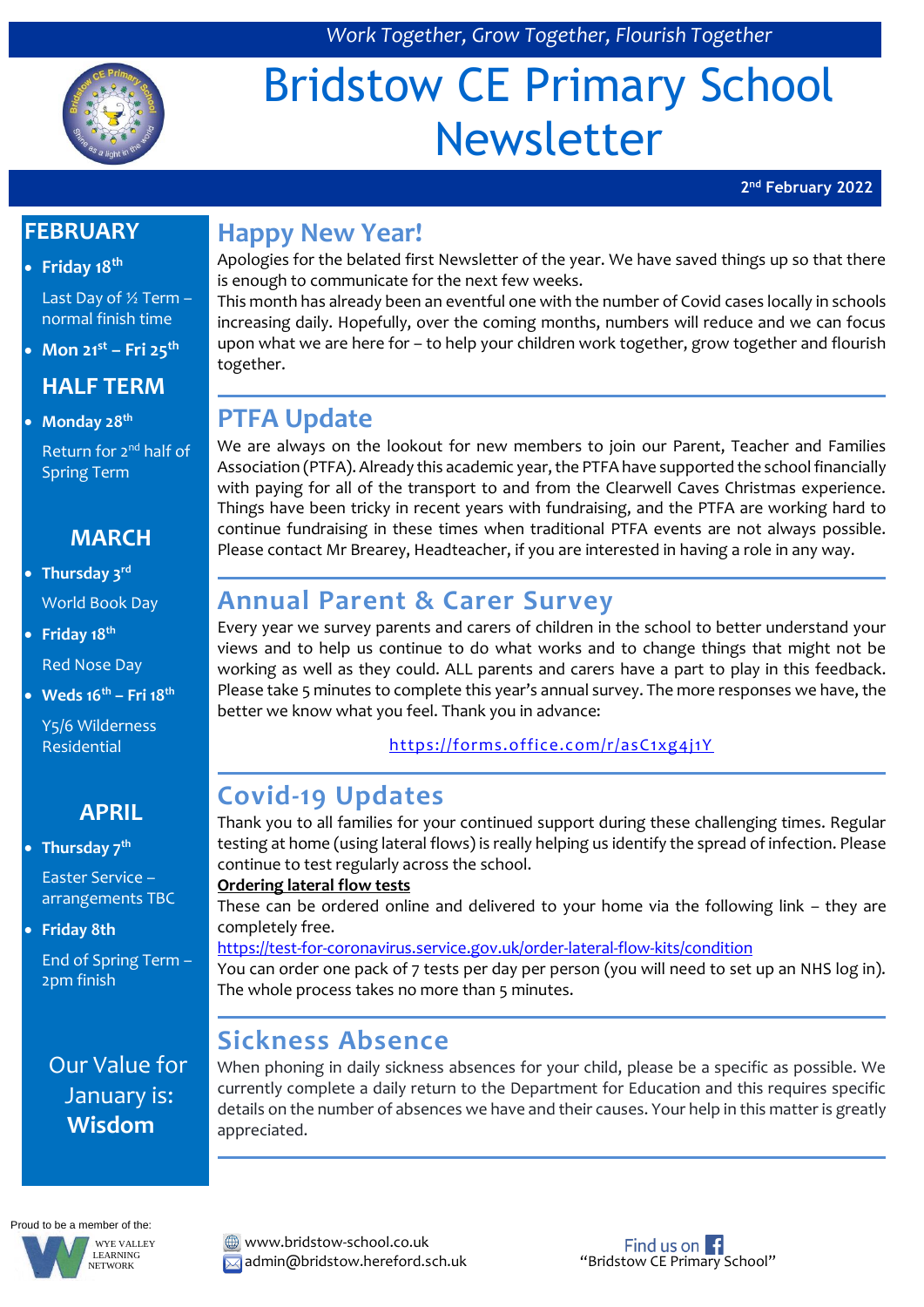

# Bridstow CE Primary School Newsletter

**2 nd February 2022**

# **FEBRUARY**

#### **Friday 18th**

Last Day of ½ Term – normal finish time

**Mon 21st – Fri 25th**

#### **HALF TERM**

**Monday 28th**

Return for 2<sup>nd</sup> half of Spring Term

#### **MARCH**

- **Thursday 3rd** World Book Day
- **Friday 18th** Red Nose Day

 **Weds 16th – Fri 18th** Y5/6 Wilderness Residential

#### **APRIL**

 **Thursday 7th** Easter Service –

arrangements TBC

#### **Friday 8th**

End of Spring Term – 2pm finish

Our Value for January is: **Wisdom**

Proud to be a member of the:



www.bridstow-school.co.uk **A** admin@bridstow.hereford.sch.uk "Bridstow CE Primary School"

# **Happy New Year!**

Apologies for the belated first Newsletter of the year. We have saved things up so that there is enough to communicate for the next few weeks.

This month has already been an eventful one with the number of Covid cases locally in schools increasing daily. Hopefully, over the coming months, numbers will reduce and we can focus upon what we are here for – to help your children work together, grow together and flourish together.

## **PTFA Update**

We are always on the lookout for new members to join our Parent, Teacher and Families Association (PTFA). Already this academic year, the PTFA have supported the school financially with paying for all of the transport to and from the Clearwell Caves Christmas experience. Things have been tricky in recent years with fundraising, and the PTFA are working hard to continue fundraising in these times when traditional PTFA events are not always possible. Please contact Mr Brearey, Headteacher, if you are interested in having a role in any way.

## **Annual Parent & Carer Survey**

Every year we survey parents and carers of children in the school to better understand your views and to help us continue to do what works and to change things that might not be working as well as they could. ALL parents and carers have a part to play in this feedback. Please take 5 minutes to complete this year's annual survey. The more responses we have, the better we know what you feel. Thank you in advance:

<https://forms.office.com/r/asC1xg4j1Y>

# **Covid-19 Updates**

Thank you to all families for your continued support during these challenging times. Regular testing at home (using lateral flows) is really helping us identify the spread of infection. Please continue to test regularly across the school.

#### **Ordering lateral flow tests**

These can be ordered online and delivered to your home via the following link – they are completely free.

<https://test-for-coronavirus.service.gov.uk/order-lateral-flow-kits/condition>

You can order one pack of 7 tests per day per person (you will need to set up an NHS log in). The whole process takes no more than 5 minutes.

#### **Sickness Absence**

When phoning in daily sickness absences for your child, please be a specific as possible. We currently complete a daily return to the Department for Education and this requires specific details on the number of absences we have and their causes. Your help in this matter is greatly appreciated.